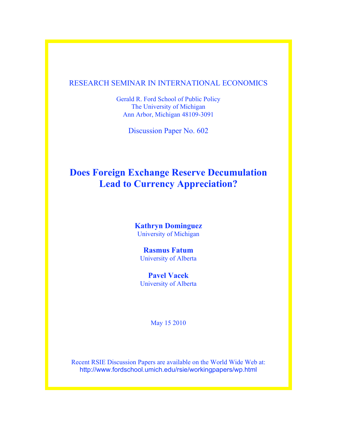# RESEARCH SEMINAR IN INTERNATIONAL ECONOMICS

Gerald R. Ford School of Public Policy The University of Michigan Ann Arbor, Michigan 48109-3091

Discussion Paper No. 602

# **Does Foreign Exchange Reserve Decumulation Lead to Currency Appreciation?**

# **Kathryn Dominguez** University of Michigan

## **Rasmus Fatum** University of Alberta

## **Pavel Vacek** University of Alberta

May 15 2010

Recent RSIE Discussion Papers are available on the World Wide Web at: http://www.fordschool.umich.edu/rsie/workingpapers/wp.html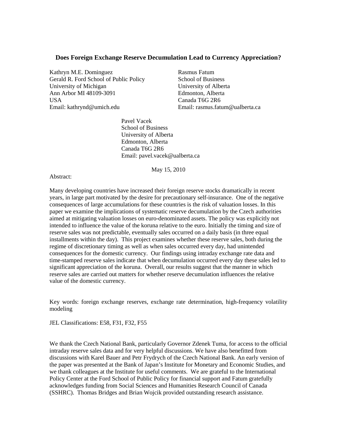#### **Does Foreign Exchange Reserve Decumulation Lead to Currency Appreciation?**

Kathryn M.E. Dominguez Gerald R. Ford School of Public Policy University of Michigan Ann Arbor MI 48109-3091 USA Email: [kathrynd@umich.edu](mailto:rasmus.fatum@ualberta.ca)

Rasmus Fatum School of Business University of Alberta Edmonton, Alberta Canada T6G 2R6 Email: rasmus.fatum@ualberta.ca

Pavel Vacek School of Business University of Alberta Edmonton, Alberta Canada T6G 2R6 Email: pavel.vacek@ualberta.ca

May 15, 2010

#### Abstract:

Many developing countries have increased their foreign reserve stocks dramatically in recent years, in large part motivated by the desire for precautionary self-insurance. One of the negative consequences of large accumulations for these countries is the risk of valuation losses. In this paper we examine the implications of systematic reserve decumulation by the Czech authorities aimed at mitigating valuation losses on euro-denominated assets. The policy was explicitly not intended to influence the value of the koruna relative to the euro. Initially the timing and size of reserve sales was not predictable, eventually sales occurred on a daily basis (in three equal installments within the day). This project examines whether these reserve sales, both during the regime of discretionary timing as well as when sales occurred every day, had unintended consequences for the domestic currency. Our findings using intraday exchange rate data and time-stamped reserve sales indicate that when decumulation occurred every day these sales led to significant appreciation of the koruna. Overall, our results suggest that the manner in which reserve sales are carried out matters for whether reserve decumulation influences the relative value of the domestic currency.

Key words: foreign exchange reserves, exchange rate determination, high-frequency volatility modeling

JEL Classifications: E58, F31, F32, F55

We thank the Czech National Bank, particularly Governor Zdenek Tuma, for access to the official intraday reserve sales data and for very helpful discussions. We have also benefitted from discussions with Karel Bauer and Petr Frydrych of the Czech National Bank. An early version of the paper was presented at the Bank of Japan's Institute for Monetary and Economic Studies, and we thank colleagues at the Institute for useful comments. We are grateful to the International Policy Center at the Ford School of Public Policy for financial support and Fatum gratefully acknowledges funding from Social Sciences and Humanities Research Council of Canada (SSHRC). Thomas Bridges and Brian Wojcik provided outstanding research assistance.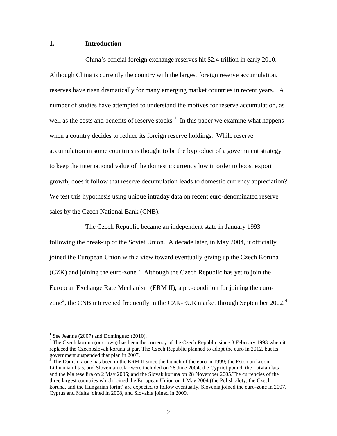## **1. Introduction**

China's official foreign exchange reserves hit \$2.4 trillion in early 2010. Although China is currently the country with the largest foreign reserve accumulation, reserves have risen dramatically for many emerging market countries in recent years. A number of studies have attempted to understand the motives for reserve accumulation, as well as the costs and benefits of reserve stocks.<sup>[1](#page-2-0)</sup> In this paper we examine what happens when a country decides to reduce its foreign reserve holdings. While reserve accumulation in some countries is thought to be the byproduct of a government strategy to keep the international value of the domestic currency low in order to boost export growth, does it follow that reserve decumulation leads to domestic currency appreciation? We test this hypothesis using unique intraday data on recent euro-denominated reserve sales by the Czech National Bank (CNB).

The Czech Republic became an independent state in January 1993 following the break-up of the Soviet Union. A decade later, in May 2004, it officially joined the European Union with a view toward eventually giving up the Czech Koruna  $(CZK)$  and joining the euro-zone.<sup>[2](#page-2-1)</sup> Although the Czech Republic has yet to join the European Exchange Rate Mechanism (ERM II), a pre-condition for joining the euro-zone<sup>[3](#page-2-2)</sup>, the CNB intervened frequently in the CZK-EUR market through September 2002.<sup>[4](#page-2-0)</sup>

<span id="page-2-0"></span> $1$  See Jeanne (2007) and Dominguez (2010).

<span id="page-2-1"></span><sup>&</sup>lt;sup>2</sup> The Czech koruna (or crown) has been the currency of the Czech Republic since 8 February 1993 when it replaced the Czechoslovak koruna at par. The Czech Republic planned to adopt the euro in 2012, but its government suspended that plan in 2007.

<span id="page-2-2"></span> $3$  The Danish krone has been in the ERM II since the launch of the euro in 1999; the Estonian kroon, Lithuanian litas, and Slovenian tolar were included on 28 June 2004; the Cypriot pound, the Latvian lats and the Maltese lira on 2 May 2005; and the Slovak koruna on 28 November 2005.The currencies of the three largest countries which joined the European Union on 1 May 2004 (the Polish zloty, the Czech koruna, and the Hungarian forint) are expected to follow eventually. Slovenia joined the euro-zone in 2007, Cyprus and Malta joined in 2008, and Slovakia joined in 2009.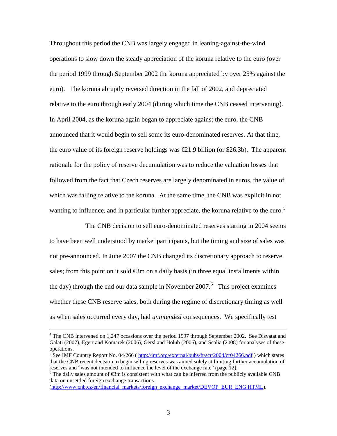Throughout this period the CNB was largely engaged in leaning-against-the-wind operations to slow down the steady appreciation of the koruna relative to the euro (over the period 1999 through September 2002 the koruna appreciated by over 25% against the euro). The koruna abruptly reversed direction in the fall of 2002, and depreciated relative to the euro through early 2004 (during which time the CNB ceased intervening). In April 2004, as the koruna again began to appreciate against the euro, the CNB announced that it would begin to sell some its euro-denominated reserves. At that time, the euro value of its foreign reserve holdings was  $\epsilon$ 21.9 billion (or \$26.3b). The apparent rationale for the policy of reserve decumulation was to reduce the valuation losses that followed from the fact that Czech reserves are largely denominated in euros, the value of which was falling relative to the koruna. At the same time, the CNB was explicit in not wanting to influence, and in particular further appreciate, the koruna relative to the euro.<sup>[5](#page-3-0)</sup>

The CNB decision to sell euro-denominated reserves starting in 2004 seems to have been well understood by market participants, but the timing and size of sales was not pre-announced. In June 2007 the CNB changed its discretionary approach to reserve sales; from this point on it sold  $\mathfrak{S}$ m on a daily basis (in three equal installments within the day) through the end our data sample in November 2007.<sup>[6](#page-3-1)</sup> This project examines whether these CNB reserve sales, both during the regime of discretionary timing as well as when sales occurred every day, had *unintended* consequences. We specifically test

<sup>&</sup>lt;sup>4</sup> The CNB intervened on 1,247 occasions over the period 1997 through September 2002. See Disyatat and Galati (2007), Egert and Komarek (2006), Gersl and Holub (2006), and Scalia (2008) for analyses of these operations.

<span id="page-3-0"></span><sup>&</sup>lt;sup>5</sup> See IMF Country Report No. 04/266 ( $\frac{http://imf.org/external/pubs/ft/scr/2004/cr04266.pdf}{http://imf.org/external/pubs/ft/scr/2004/cr04266.pdf}$ ) which states that the CNB recent decision to begin selling reserves was aimed solely at limiting further accumulation of reserves and "was not intended to influence the level of the exchange rate" (page 12).

<span id="page-3-1"></span> $\rm$ <sup>6</sup> The daily sales amount of  $\rm \epsilon\$ m is consistent with what can be inferred from the publicly available CNB data on unsettled foreign exchange transactions

[<sup>\(</sup>http://www.cnb.cz/en/financial\\_markets/foreign\\_exchange\\_market/DEVOP\\_EUR\\_ENG.HTML\)](http://www.cnb.cz/en/financial_markets/foreign_exchange_market/DEVOP_EUR_ENG.HTML).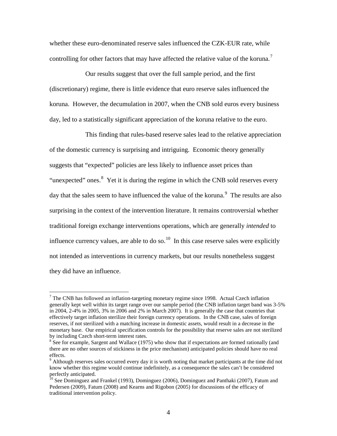whether these euro-denominated reserve sales influenced the CZK-EUR rate, while controlling for other factors that may have affected the relative value of the koruna.<sup>[7](#page-4-0)</sup>

Our results suggest that over the full sample period, and the first (discretionary) regime, there is little evidence that euro reserve sales influenced the koruna. However, the decumulation in 2007, when the CNB sold euros every business day, led to a statistically significant appreciation of the koruna relative to the euro.

This finding that rules-based reserve sales lead to the relative appreciation of the domestic currency is surprising and intriguing. Economic theory generally suggests that "expected" policies are less likely to influence asset prices than "unexpected" ones.  $8$  Yet it is during the regime in which the CNB sold reserves every day that the sales seem to have influenced the value of the koruna.<sup>[9](#page-4-2)</sup> The results are also surprising in the context of the intervention literature. It remains controversial whether traditional foreign exchange interventions operations, which are generally *intended* to influence currency values, are able to do so.<sup>[10](#page-4-3)</sup> In this case reserve sales were explicitly not intended as interventions in currency markets, but our results nonetheless suggest they did have an influence.

<span id="page-4-0"></span> $7$  The CNB has followed an inflation-targeting monetary regime since 1998. Actual Czech inflation generally kept well within its target range over our sample period (the CNB inflation target band was 3-5% in 2004, 2-4% in 2005, 3% in 2006 and 2% in March 2007). It is generally the case that countries that effectively target inflation sterilize their foreign currency operations. In the CNB case, sales of foreign reserves, if not sterilized with a matching increase in domestic assets, would result in a decrease in the monetary base. Our empirical specification controls for the possibility that reserve sales are not sterilized by including Czech short-term interest rates.

<span id="page-4-1"></span> $8^8$  See for example, Sargent and Wallace (1975) who show that if expectations are formed rationally (and there are no other sources of stickiness in the price mechanism) anticipated policies should have no real effects.

<span id="page-4-2"></span><sup>&</sup>lt;sup>9</sup> Although reserves sales occurred every day it is worth noting that market participants at the time did not know whether this regime would continue indefinitely, as a consequence the sales can't be considered perfectly anticipated.

<span id="page-4-3"></span><sup>&</sup>lt;sup>10</sup> See Dominguez and Frankel (1993), Dominguez (2006), Dominguez and Panthaki (2007), Fatum and Pedersen (2009), Fatum (2008) and Kearns and Rigobon (2005) for discussions of the efficacy of traditional intervention policy.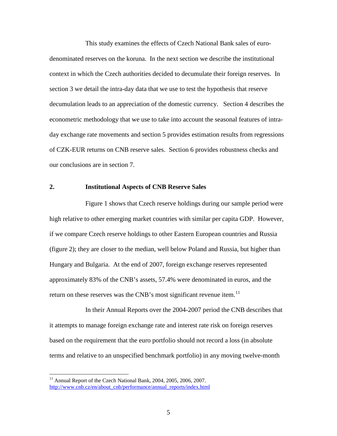This study examines the effects of Czech National Bank sales of eurodenominated reserves on the koruna. In the next section we describe the institutional context in which the Czech authorities decided to decumulate their foreign reserves. In section 3 we detail the intra-day data that we use to test the hypothesis that reserve decumulation leads to an appreciation of the domestic currency. Section 4 describes the econometric methodology that we use to take into account the seasonal features of intraday exchange rate movements and section 5 provides estimation results from regressions of CZK-EUR returns on CNB reserve sales. Section 6 provides robustness checks and our conclusions are in section 7.

#### **2. Institutional Aspects of CNB Reserve Sales**

Figure 1 shows that Czech reserve holdings during our sample period were high relative to other emerging market countries with similar per capita GDP. However, if we compare Czech reserve holdings to other Eastern European countries and Russia (figure 2); they are closer to the median, well below Poland and Russia, but higher than Hungary and Bulgaria. At the end of 2007, foreign exchange reserves represented approximately 83% of the CNB's assets, 57.4% were denominated in euros, and the return on these reserves was the CNB's most significant revenue item.<sup>[11](#page-5-0)</sup>

In their Annual Reports over the 2004-2007 period the CNB describes that it attempts to manage foreign exchange rate and interest rate risk on foreign reserves based on the requirement that the euro portfolio should not record a loss (in absolute terms and relative to an unspecified benchmark portfolio) in any moving twelve-month

<span id="page-5-0"></span> $11$  Annual Report of the Czech National Bank, 2004, 2005, 2006, 2007. [http://www.cnb.cz/en/about\\_cnb/performance/annual\\_reports/index.html](http://www.cnb.cz/en/about_cnb/performance/annual_reports/index.html)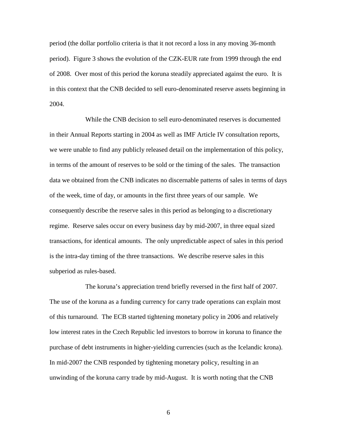period (the dollar portfolio criteria is that it not record a loss in any moving 36-month period). Figure 3 shows the evolution of the CZK-EUR rate from 1999 through the end of 2008. Over most of this period the koruna steadily appreciated against the euro. It is in this context that the CNB decided to sell euro-denominated reserve assets beginning in 2004.

While the CNB decision to sell euro-denominated reserves is documented in their Annual Reports starting in 2004 as well as IMF Article IV consultation reports, we were unable to find any publicly released detail on the implementation of this policy, in terms of the amount of reserves to be sold or the timing of the sales. The transaction data we obtained from the CNB indicates no discernable patterns of sales in terms of days of the week, time of day, or amounts in the first three years of our sample. We consequently describe the reserve sales in this period as belonging to a discretionary regime. Reserve sales occur on every business day by mid-2007, in three equal sized transactions, for identical amounts. The only unpredictable aspect of sales in this period is the intra-day timing of the three transactions. We describe reserve sales in this subperiod as rules-based.

The koruna's appreciation trend briefly reversed in the first half of 2007. The use of the koruna as a funding currency for carry trade operations can explain most of this turnaround. The ECB started tightening monetary policy in 2006 and relatively low interest rates in the Czech Republic led investors to borrow in koruna to finance the purchase of debt instruments in higher-yielding currencies (such as the Icelandic krona). In mid-2007 the CNB responded by tightening monetary policy, resulting in an unwinding of the koruna carry trade by mid-August. It is worth noting that the CNB

6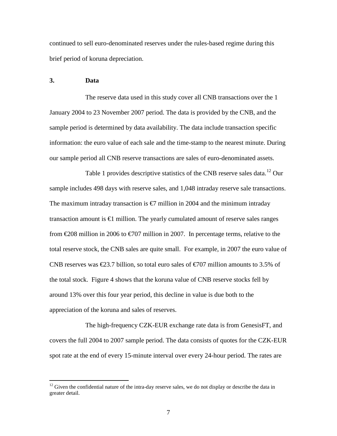continued to sell euro-denominated reserves under the rules-based regime during this brief period of koruna depreciation.

#### **3. Data**

The reserve data used in this study cover all CNB transactions over the 1 January 2004 to 23 November 2007 period. The data is provided by the CNB, and the sample period is determined by data availability. The data include transaction specific information: the euro value of each sale and the time-stamp to the nearest minute. During our sample period all CNB reserve transactions are sales of euro-denominated assets.

Table 1 provides descriptive statistics of the CNB reserve sales data.<sup>[12](#page-7-0)</sup> Our sample includes 498 days with reserve sales, and 1,048 intraday reserve sale transactions. The maximum intraday transaction is  $\epsilon$  million in 2004 and the minimum intraday transaction amount is  $\bigoplus$  million. The yearly cumulated amount of reserve sales ranges from  $\text{\textsterling}08$  million in 2006 to  $\text{\textsterling}07$  million in 2007. In percentage terms, relative to the total reserve stock, the CNB sales are quite small. For example, in 2007 the euro value of CNB reserves was  $\text{\textsterling}3.7$  billion, so total euro sales of  $\text{\textsterling}707$  million amounts to 3.5% of the total stock. Figure 4 shows that the koruna value of CNB reserve stocks fell by around 13% over this four year period, this decline in value is due both to the appreciation of the koruna and sales of reserves.

The high-frequency CZK-EUR exchange rate data is from GenesisFT, and covers the full 2004 to 2007 sample period. The data consists of quotes for the CZK-EUR spot rate at the end of every 15-minute interval over every 24-hour period. The rates are

<span id="page-7-0"></span> $12$  Given the confidential nature of the intra-day reserve sales, we do not display or describe the data in greater detail.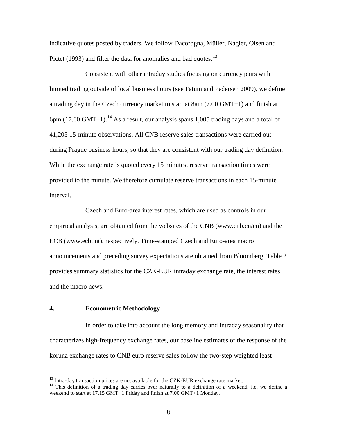indicative quotes posted by traders. We follow Dacorogna, Müller, Nagler, Olsen and Pictet (1993) and filter the data for anomalies and bad quotes.<sup>[13](#page-8-0)</sup>

Consistent with other intraday studies focusing on currency pairs with limited trading outside of local business hours (see Fatum and Pedersen 2009), we define a trading day in the Czech currency market to start at 8am (7.00 GMT+1) and finish at  $6$ pm (17.00 GMT+1).<sup>[14](#page-8-1)</sup> As a result, our analysis spans 1,005 trading days and a total of 41,205 15-minute observations. All CNB reserve sales transactions were carried out during Prague business hours, so that they are consistent with our trading day definition. While the exchange rate is quoted every 15 minutes, reserve transaction times were provided to the minute. We therefore cumulate reserve transactions in each 15-minute interval.

Czech and Euro-area interest rates, which are used as controls in our empirical analysis, are obtained from the websites of the CNB (www.cnb.cn/en) and the ECB (www.ecb.int), respectively. Time-stamped Czech and Euro-area macro announcements and preceding survey expectations are obtained from Bloomberg. Table 2 provides summary statistics for the CZK-EUR intraday exchange rate, the interest rates and the macro news.

#### **4. Econometric Methodology**

In order to take into account the long memory and intraday seasonality that characterizes high-frequency exchange rates, our baseline estimates of the response of the koruna exchange rates to CNB euro reserve sales follow the two-step weighted least

<span id="page-8-1"></span><span id="page-8-0"></span><sup>&</sup>lt;sup>13</sup> Intra-day transaction prices are not available for the CZK-EUR exchange rate market.<br><sup>14</sup> This definition of a trading day carries over naturally to a definition of a weekend, i.e. we define a weekend to start at 17.15 GMT+1 Friday and finish at 7.00 GMT+1 Monday.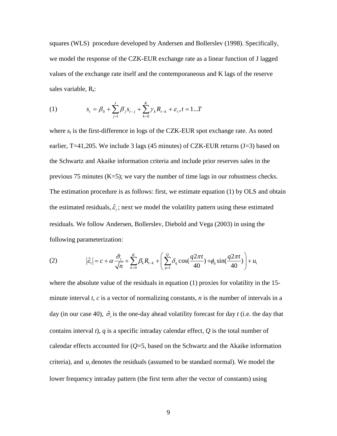squares (WLS) procedure developed by Andersen and Bollerslev (1998). Specifically, we model the response of the CZK-EUR exchange rate as a linear function of J lagged values of the exchange rate itself and the contemporaneous and K lags of the reserve sales variable,  $R_t$ :

(1) 
$$
s_{t} = \beta_{0} + \sum_{j=1}^{J} \beta_{j} s_{t-j} + \sum_{k=0}^{K} \gamma_{k} R_{t-k} + \varepsilon_{t}, t = 1...T
$$

where  $s_t$  is the first-difference in logs of the CZK-EUR spot exchange rate. As noted earlier, T=41,205. We include 3 lags (45 minutes) of CZK-EUR returns (J=3) based on the Schwartz and Akaike information criteria and include prior reserves sales in the previous 75 minutes  $(K=5)$ ; we vary the number of time lags in our robustness checks. The estimation procedure is as follows: first, we estimate equation (1) by OLS and obtain the estimated residuals,  $\hat{\varepsilon}$ , next we model the volatility pattern using these estimated residuals. We follow Andersen, Bollerslev, Diebold and Vega (2003) in using the following parameterization:

(2) 
$$
|\hat{\varepsilon}_t| = c + \alpha \frac{\hat{\sigma}_t}{\sqrt{n}} + \sum_{k=0}^K \beta_k R_{t-k} + \left( \sum_{q=1}^Q \delta_q \cos(\frac{q2\pi t}{40}) + \phi_q \sin(\frac{q2\pi t}{40}) \right) + u_t
$$

where the absolute value of the residuals in equation (1) proxies for volatility in the 15 minute interval *t*, *c* is a vector of normalizing constants, *n* is the number of intervals in a day (in our case 40),  $\hat{\sigma}_t$  is the one-day ahead volatility forecast for day *t* (i.e. the day that contains interval *t*), *q* is a specific intraday calendar effect, *Q* is the total number of calendar effects accounted for (*Q*=5, based on the Schwartz and the Akaike information criteria), and  $u_t$  denotes the residuals (assumed to be standard normal). We model the lower frequency intraday pattern (the first term after the vector of constants) using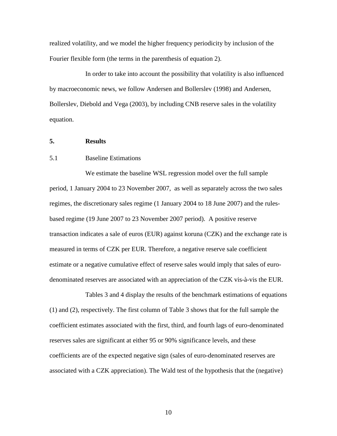realized volatility, and we model the higher frequency periodicity by inclusion of the Fourier flexible form (the terms in the parenthesis of equation 2).

In order to take into account the possibility that volatility is also influenced by macroeconomic news, we follow Andersen and Bollerslev (1998) and Andersen, Bollerslev, Diebold and Vega (2003), by including CNB reserve sales in the volatility equation.

#### **5. Results**

## 5.1 Baseline Estimations

We estimate the baseline WSL regression model over the full sample period, 1 January 2004 to 23 November 2007, as well as separately across the two sales regimes, the discretionary sales regime (1 January 2004 to 18 June 2007) and the rulesbased regime (19 June 2007 to 23 November 2007 period). A positive reserve transaction indicates a sale of euros (EUR) against koruna (CZK) and the exchange rate is measured in terms of CZK per EUR. Therefore, a negative reserve sale coefficient estimate or a negative cumulative effect of reserve sales would imply that sales of eurodenominated reserves are associated with an appreciation of the CZK vis-à-vis the EUR.

Tables 3 and 4 display the results of the benchmark estimations of equations (1) and (2), respectively. The first column of Table 3 shows that for the full sample the coefficient estimates associated with the first, third, and fourth lags of euro-denominated reserves sales are significant at either 95 or 90% significance levels, and these coefficients are of the expected negative sign (sales of euro-denominated reserves are associated with a CZK appreciation). The Wald test of the hypothesis that the (negative)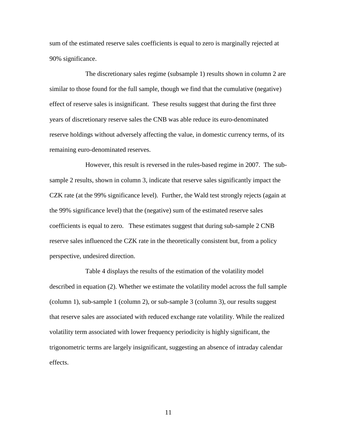sum of the estimated reserve sales coefficients is equal to zero is marginally rejected at 90% significance.

The discretionary sales regime (subsample 1) results shown in column 2 are similar to those found for the full sample, though we find that the cumulative (negative) effect of reserve sales is insignificant. These results suggest that during the first three years of discretionary reserve sales the CNB was able reduce its euro-denominated reserve holdings without adversely affecting the value, in domestic currency terms, of its remaining euro-denominated reserves.

However, this result is reversed in the rules-based regime in 2007. The subsample 2 results, shown in column 3, indicate that reserve sales significantly impact the CZK rate (at the 99% significance level). Further, the Wald test strongly rejects (again at the 99% significance level) that the (negative) sum of the estimated reserve sales coefficients is equal to zero. These estimates suggest that during sub-sample 2 CNB reserve sales influenced the CZK rate in the theoretically consistent but, from a policy perspective, undesired direction.

Table 4 displays the results of the estimation of the volatility model described in equation (2). Whether we estimate the volatility model across the full sample (column 1), sub-sample 1 (column 2), or sub-sample 3 (column 3), our results suggest that reserve sales are associated with reduced exchange rate volatility. While the realized volatility term associated with lower frequency periodicity is highly significant, the trigonometric terms are largely insignificant, suggesting an absence of intraday calendar effects.

11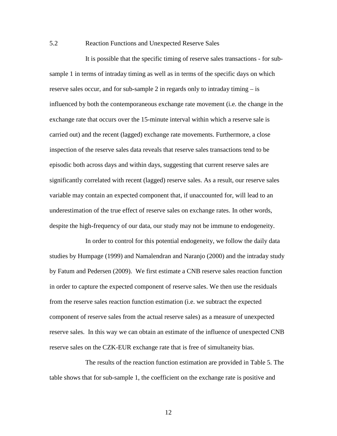#### 5.2 Reaction Functions and Unexpected Reserve Sales

It is possible that the specific timing of reserve sales transactions - for subsample 1 in terms of intraday timing as well as in terms of the specific days on which reserve sales occur, and for sub-sample 2 in regards only to intraday timing – is influenced by both the contemporaneous exchange rate movement (i.e. the change in the exchange rate that occurs over the 15-minute interval within which a reserve sale is carried out) and the recent (lagged) exchange rate movements. Furthermore, a close inspection of the reserve sales data reveals that reserve sales transactions tend to be episodic both across days and within days, suggesting that current reserve sales are significantly correlated with recent (lagged) reserve sales. As a result, our reserve sales variable may contain an expected component that, if unaccounted for, will lead to an underestimation of the true effect of reserve sales on exchange rates. In other words, despite the high-frequency of our data, our study may not be immune to endogeneity.

In order to control for this potential endogeneity, we follow the daily data studies by Humpage (1999) and Namalendran and Naranjo (2000) and the intraday study by Fatum and Pedersen (2009). We first estimate a CNB reserve sales reaction function in order to capture the expected component of reserve sales. We then use the residuals from the reserve sales reaction function estimation (i.e. we subtract the expected component of reserve sales from the actual reserve sales) as a measure of unexpected reserve sales. In this way we can obtain an estimate of the influence of unexpected CNB reserve sales on the CZK-EUR exchange rate that is free of simultaneity bias.

The results of the reaction function estimation are provided in Table 5. The table shows that for sub-sample 1, the coefficient on the exchange rate is positive and

12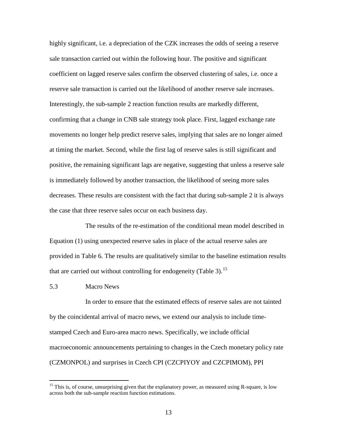highly significant, i.e. a depreciation of the CZK increases the odds of seeing a reserve sale transaction carried out within the following hour. The positive and significant coefficient on lagged reserve sales confirm the observed clustering of sales, i.e. once a reserve sale transaction is carried out the likelihood of another reserve sale increases. Interestingly, the sub-sample 2 reaction function results are markedly different, confirming that a change in CNB sale strategy took place. First, lagged exchange rate movements no longer help predict reserve sales, implying that sales are no longer aimed at timing the market. Second, while the first lag of reserve sales is still significant and positive, the remaining significant lags are negative, suggesting that unless a reserve sale is immediately followed by another transaction, the likelihood of seeing more sales decreases. These results are consistent with the fact that during sub-sample 2 it is always the case that three reserve sales occur on each business day.

The results of the re-estimation of the conditional mean model described in Equation (1) using unexpected reserve sales in place of the actual reserve sales are provided in Table 6. The results are qualitatively similar to the baseline estimation results that are carried out without controlling for endogeneity (Table 3).<sup>[15](#page-13-0)</sup>

#### 5.3 Macro News

In order to ensure that the estimated effects of reserve sales are not tainted by the coincidental arrival of macro news, we extend our analysis to include timestamped Czech and Euro-area macro news. Specifically, we include official macroeconomic announcements pertaining to changes in the Czech monetary policy rate (CZMONPOL) and surprises in Czech CPI (CZCPIYOY and CZCPIMOM), PPI

<span id="page-13-0"></span> $15$  This is, of course, unsurprising given that the explanatory power, as measured using R-square, is low across both the sub-sample reaction function estimations.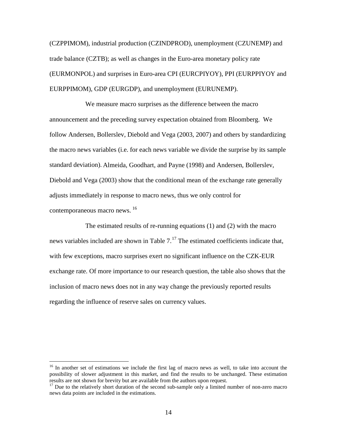(CZPPIMOM), industrial production (CZINDPROD), unemployment (CZUNEMP) and trade balance (CZTB); as well as changes in the Euro-area monetary policy rate (EURMONPOL) and surprises in Euro-area CPI (EURCPIYOY), PPI (EURPPIYOY and EURPPIMOM), GDP (EURGDP), and unemployment (EURUNEMP).

We measure macro surprises as the difference between the macro announcement and the preceding survey expectation obtained from Bloomberg. We follow Andersen, Bollerslev, Diebold and Vega (2003, 2007) and others by standardizing the macro news variables (i.e. for each news variable we divide the surprise by its sample standard deviation). Almeida, Goodhart, and Payne (1998) and Andersen, Bollerslev, Diebold and Vega (2003) show that the conditional mean of the exchange rate generally adjusts immediately in response to macro news, thus we only control for contemporaneous macro news. [16](#page-14-0)

The estimated results of re-running equations (1) and (2) with the macro news variables included are shown in Table 7.<sup>[17](#page-14-1)</sup> The estimated coefficients indicate that, with few exceptions, macro surprises exert no significant influence on the CZK-EUR exchange rate. Of more importance to our research question, the table also shows that the inclusion of macro news does not in any way change the previously reported results regarding the influence of reserve sales on currency values.

<span id="page-14-0"></span><sup>&</sup>lt;sup>16</sup> In another set of estimations we include the first lag of macro news as well, to take into account the possibility of slower adjustment in this market, and find the results to be unchanged. These estimation results are not shown for brevity but are available from the authors upon request.

<span id="page-14-1"></span> $17$  Due to the relatively short duration of the second sub-sample only a limited number of non-zero macro news data points are included in the estimations.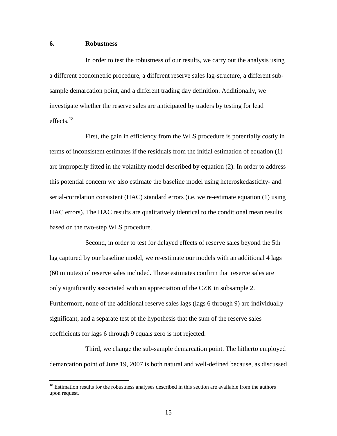#### **6. Robustness**

In order to test the robustness of our results, we carry out the analysis using a different econometric procedure, a different reserve sales lag-structure, a different subsample demarcation point, and a different trading day definition. Additionally, we investigate whether the reserve sales are anticipated by traders by testing for lead effects $18$ 

First, the gain in efficiency from the WLS procedure is potentially costly in terms of inconsistent estimates if the residuals from the initial estimation of equation (1) are improperly fitted in the volatility model described by equation (2). In order to address this potential concern we also estimate the baseline model using heteroskedasticity- and serial-correlation consistent (HAC) standard errors (i.e. we re-estimate equation (1) using HAC errors). The HAC results are qualitatively identical to the conditional mean results based on the two-step WLS procedure.

Second, in order to test for delayed effects of reserve sales beyond the 5th lag captured by our baseline model, we re-estimate our models with an additional 4 lags (60 minutes) of reserve sales included. These estimates confirm that reserve sales are only significantly associated with an appreciation of the CZK in subsample 2. Furthermore, none of the additional reserve sales lags (lags 6 through 9) are individually significant, and a separate test of the hypothesis that the sum of the reserve sales coefficients for lags 6 through 9 equals zero is not rejected.

Third, we change the sub-sample demarcation point. The hitherto employed demarcation point of June 19, 2007 is both natural and well-defined because, as discussed

<span id="page-15-0"></span><sup>&</sup>lt;sup>18</sup> Estimation results for the robustness analyses described in this section are available from the authors upon request.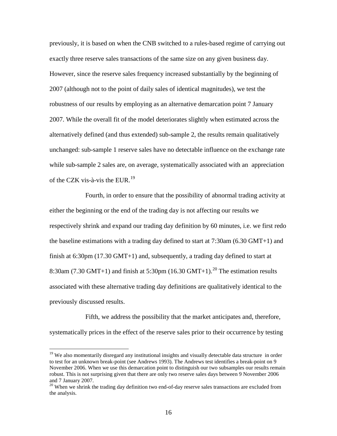previously, it is based on when the CNB switched to a rules-based regime of carrying out exactly three reserve sales transactions of the same size on any given business day. However, since the reserve sales frequency increased substantially by the beginning of 2007 (although not to the point of daily sales of identical magnitudes), we test the robustness of our results by employing as an alternative demarcation point 7 January 2007. While the overall fit of the model deteriorates slightly when estimated across the alternatively defined (and thus extended) sub-sample 2, the results remain qualitatively unchanged: sub-sample 1 reserve sales have no detectable influence on the exchange rate while sub-sample 2 sales are, on average, systematically associated with an appreciation of the CZK vis-à-vis the EUR.<sup>[19](#page-16-0)</sup>

Fourth, in order to ensure that the possibility of abnormal trading activity at either the beginning or the end of the trading day is not affecting our results we respectively shrink and expand our trading day definition by 60 minutes, i.e. we first redo the baseline estimations with a trading day defined to start at 7:30am (6.30 GMT+1) and finish at 6:30pm (17.30 GMT+1) and, subsequently, a trading day defined to start at 8:30am (7.30 GMT+1) and finish at 5:30pm (16.30 GMT+1).<sup>[20](#page-16-1)</sup> The estimation results associated with these alternative trading day definitions are qualitatively identical to the previously discussed results.

Fifth, we address the possibility that the market anticipates and, therefore, systematically prices in the effect of the reserve sales prior to their occurrence by testing

<span id="page-16-0"></span><sup>&</sup>lt;sup>19</sup> We also momentarily disregard any institutional insights and visually detectable data structure in order to test for an unknown break-point (see Andrews 1993). The Andrews test identifies a break-point on 9 November 2006. When we use this demarcation point to distinguish our two subsamples our results remain robust. This is not surprising given that there are only two reserve sales days between 9 November 2006 and 7 January 2007.

<span id="page-16-1"></span> $20$  When we shrink the trading day definition two end-of-day reserve sales transactions are excluded from the analysis.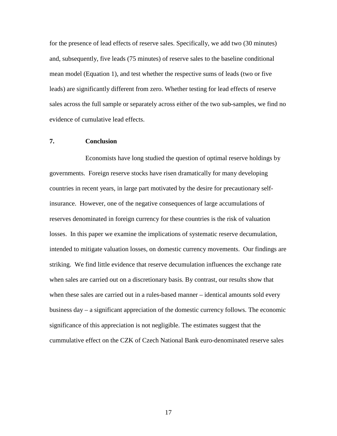for the presence of lead effects of reserve sales. Specifically, we add two (30 minutes) and, subsequently, five leads (75 minutes) of reserve sales to the baseline conditional mean model (Equation 1), and test whether the respective sums of leads (two or five leads) are significantly different from zero. Whether testing for lead effects of reserve sales across the full sample or separately across either of the two sub-samples, we find no evidence of cumulative lead effects.

#### **7. Conclusion**

Economists have long studied the question of optimal reserve holdings by governments. Foreign reserve stocks have risen dramatically for many developing countries in recent years, in large part motivated by the desire for precautionary selfinsurance. However, one of the negative consequences of large accumulations of reserves denominated in foreign currency for these countries is the risk of valuation losses. In this paper we examine the implications of systematic reserve decumulation, intended to mitigate valuation losses, on domestic currency movements. Our findings are striking. We find little evidence that reserve decumulation influences the exchange rate when sales are carried out on a discretionary basis. By contrast, our results show that when these sales are carried out in a rules-based manner – identical amounts sold every business day – a significant appreciation of the domestic currency follows. The economic significance of this appreciation is not negligible. The estimates suggest that the cummulative effect on the CZK of Czech National Bank euro-denominated reserve sales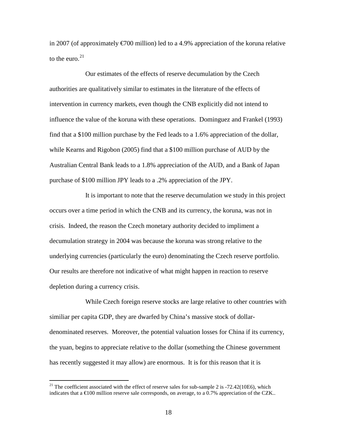in 2007 (of approximately  $\epsilon$ 700 million) led to a 4.9% appreciation of the koruna relative to the euro. $21$ 

Our estimates of the effects of reserve decumulation by the Czech authorities are qualitatively similar to estimates in the literature of the effects of intervention in currency markets, even though the CNB explicitly did not intend to influence the value of the koruna with these operations. Dominguez and Frankel (1993) find that a \$100 million purchase by the Fed leads to a 1.6% appreciation of the dollar, while Kearns and Rigobon (2005) find that a \$100 million purchase of AUD by the Australian Central Bank leads to a 1.8% appreciation of the AUD, and a Bank of Japan purchase of \$100 million JPY leads to a .2% appreciation of the JPY.

It is important to note that the reserve decumulation we study in this project occurs over a time period in which the CNB and its currency, the koruna, was not in crisis. Indeed, the reason the Czech monetary authority decided to impliment a decumulation strategy in 2004 was because the koruna was strong relative to the underlying currencies (particularly the euro) denominating the Czech reserve portfolio. Our results are therefore not indicative of what might happen in reaction to reserve depletion during a currency crisis.

While Czech foreign reserve stocks are large relative to other countries with similiar per capita GDP, they are dwarfed by China's massive stock of dollardenominated reserves. Moreover, the potential valuation losses for China if its currency, the yuan, begins to appreciate relative to the dollar (something the Chinese government has recently suggested it may allow) are enormous. It is for this reason that it is

<span id="page-18-0"></span><sup>&</sup>lt;sup>21</sup> The coefficient associated with the effect of reserve sales for sub-sample 2 is  $-72.42(10E6)$ , which indicates that a €100 million reserve sale corresponds, on average, to a 0.7% appreciation of the CZK..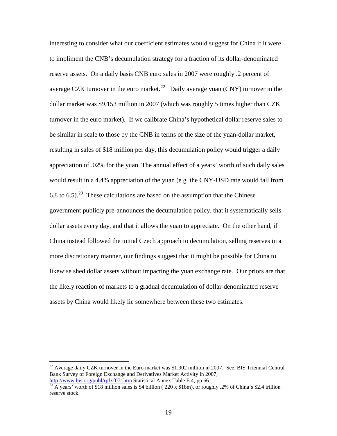interesting to consider what our coefficient estimates would suggest for China if it were to impliment the CNB's decumulation strategy for a fraction of its dollar-denominated reserve assets. On a daily basis CNB euro sales in 2007 were roughly .2 percent of average CZK turnover in the euro market.<sup>[22](#page-19-0)</sup> Daily average yuan (CNY) turnover in the dollar market was \$9,153 million in 2007 (which was roughly 5 times higher than CZK turnover in the euro market). If we calibrate China's hypothetical dollar reserve sales to be similar in scale to those by the CNB in terms of the size of the yuan-dollar market, resulting in sales of \$18 million per day, this decumulation policy would trigger a daily appreciation of .02% for the yuan. The annual effect of a years' worth of such daily sales would result in a 4.4% appreciation of the yuan (e.g. the CNY-USD rate would fall from 6.8 to 6.5).<sup>[23](#page-19-1)</sup> These calculations are based on the assumption that the Chinese government publicly pre-announces the decumulation policy, that it systematically sells dollar assets every day, and that it allows the yuan to appreciate. On the other hand, if China instead followed the initial Czech approach to decumulation, selling reserves in a more discretionary manner, our findings suggest that it might be possible for China to likewise shed dollar assets without impacting the yuan exchange rate. Our priors are that the likely reaction of markets to a gradual decumulation of dollar-denominated reserve assets by China would likely lie somewhere between these two estimates.

<span id="page-19-0"></span> $22$  Average daily CZK turnover in the Euro market was \$1,902 million in 2007. See, BIS Triennial Central Bank Survey of Foreign Exchange and Derivatives Market Activity in 2007,

<span id="page-19-1"></span><http://www.bis.org/publ/rpfxf07t.htm> Statistical Annex Table E.4, pp 66.<br><sup>23</sup> A years' worth of \$18 million sales is \$4 billion ( 220 x \$18m), or roughly .2% of China's \$2.4 trillion reserve stock.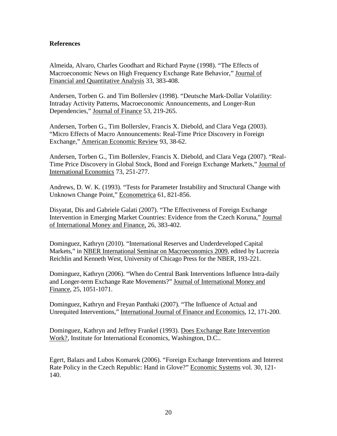## **References**

Almeida, Alvaro, Charles Goodhart and Richard Payne (1998). "The Effects of Macroeconomic News on High Frequency Exchange Rate Behavior," Journal of Financial and Quantitative Analysis 33, 383-408.

Andersen, Torben G. and Tim Bollerslev (1998). "Deutsche Mark-Dollar Volatility: Intraday Activity Patterns, Macroeconomic Announcements, and Longer-Run Dependencies," Journal of Finance 53, 219-265.

Andersen, Torben G., Tim Bollerslev, Francis X. Diebold, and Clara Vega (2003). "Micro Effects of Macro Announcements: Real-Time Price Discovery in Foreign Exchange," American Economic Review 93, 38-62.

Andersen, Torben G., Tim Bollerslev, Francis X. Diebold, and Clara Vega (2007). "Real-Time Price Discovery in Global Stock, Bond and Foreign Exchange Markets," Journal of International Economics 73, 251-277.

Andrews, D. W. K. (1993). "Tests for Parameter Instability and Structural Change with Unknown Change Point," Econometrica 61, 821-856.

Disyatat, Dis and Gabriele Galati (2007). "The Effectiveness of Foreign Exchange Intervention in Emerging Market Countries: Evidence from the Czech Koruna," Journal of International Money and Finance, 26, 383-402.

Dominguez, Kathryn (2010). "International Reserves and Underdeveloped Capital Markets," in NBER International Seminar on Macroeconomics 2009, edited by Lucrezia Reichlin and Kenneth West, University of Chicago Press for the NBER, 193-221.

Dominguez, Kathryn (2006). "When do Central Bank Interventions Influence Intra-daily and Longer-term Exchange Rate Movements?" Journal of International Money and Finance, 25, 1051-1071.

Dominguez, Kathryn and Freyan Panthaki (2007). "The Influence of Actual and Unrequited Interventions," International Journal of Finance and Economics, 12, 171-200.

Dominguez, Kathryn and Jeffrey Frankel (1993). Does Exchange Rate Intervention Work?, Institute for International Economics, Washington, D.C..

Egert, Balazs and Lubos Komarek (2006). "Foreign Exchange Interventions and Interest Rate Policy in the Czech Republic: Hand in Glove?" Economic Systems vol. 30, 121- 140.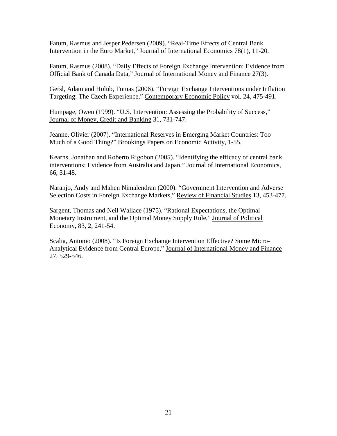Fatum, Rasmus and Jesper Pedersen (2009). "Real-Time Effects of Central Bank Intervention in the Euro Market," Journal of International Economics 78(1), 11-20.

Fatum, Rasmus (2008). "Daily Effects of Foreign Exchange Intervention: Evidence from Official Bank of Canada Data," Journal of International Money and Finance 27(3).

Gersl, Adam and Holub, Tomas (2006). "Foreign Exchange Interventions under Inflation Targeting: The Czech Experience," Contemporary Economic Policy vol. 24, 475-491.

Humpage, Owen (1999). "U.S. Intervention: Assessing the Probability of Success," Journal of Money, Credit and Banking 31, 731-747.

Jeanne, Olivier (2007). "International Reserves in Emerging Market Countries: Too Much of a Good Thing?" Brookings Papers on Economic Activity, 1-55.

Kearns, Jonathan and Roberto Rigobon (2005). "Identifying the efficacy of central bank interventions: Evidence from Australia and Japan," Journal of International Economics, 66, 31-48.

Naranjo, Andy and Mahen Nimalendran (2000). "Government Intervention and Adverse Selection Costs in Foreign Exchange Markets," Review of Financial Studies 13, 453-477.

Sargent, Thomas and Neil Wallace (1975). "Rational Expectations, the Optimal Monetary Instrument, and the Optimal Money Supply Rule," Journal of Political Economy, 83, 2, 241-54.

Scalia, Antonio (2008). "Is Foreign Exchange Intervention Effective? Some Micro-Analytical Evidence from Central Europe," Journal of International Money and Finance 27, 529-546.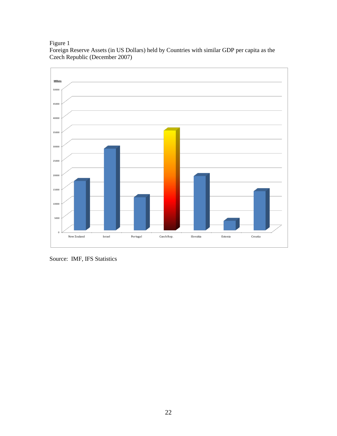## Figure 1

Foreign Reserve Assets (in US Dollars) held by Countries with similar GDP per capita as the Czech Republic (December 2007)



Source: IMF, IFS Statistics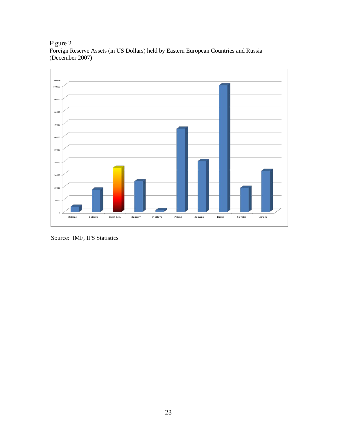Figure 2 Foreign Reserve Assets (in US Dollars) held by Eastern European Countries and Russia (December 2007)



Source: IMF, IFS Statistics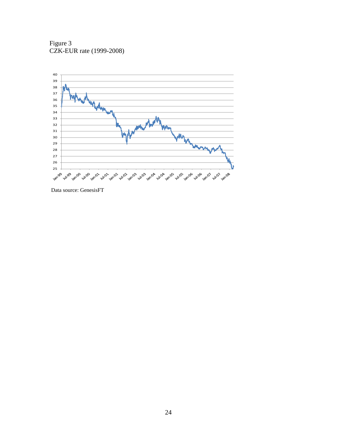Figure 3 CZK-EUR rate (1999-2008)



Data source: GenesisFT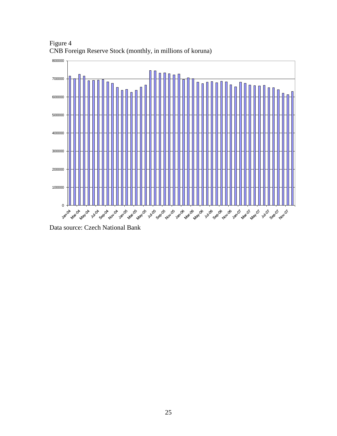

Figure 4 CNB Foreign Reserve Stock (monthly, in millions of koruna)

Data source: Czech National Bank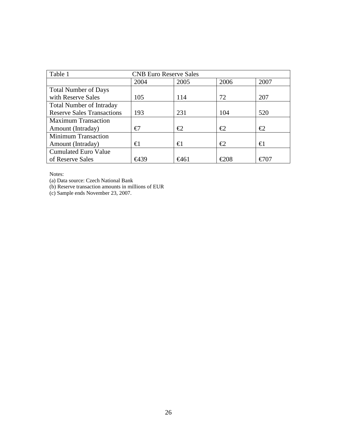| Table 1<br><b>CNB Euro Reserve Sales</b> |      |                |                |      |
|------------------------------------------|------|----------------|----------------|------|
|                                          | 2004 | 2005           | 2006           | 2007 |
| <b>Total Number of Days</b>              |      |                |                |      |
| with Reserve Sales                       | 105  | 114            | 72             | 207  |
| <b>Total Number of Intraday</b>          |      |                |                |      |
| <b>Reserve Sales Transactions</b>        | 193  | 231            | 104            | 520  |
| <b>Maximum Transaction</b>               |      |                |                |      |
| Amount (Intraday)                        | €7   | €2             | €2             | €2   |
| <b>Minimum Transaction</b>               |      |                |                |      |
| Amount (Intraday)                        | €l   | €l             | €2             | €l   |
| <b>Cumulated Euro Value</b>              |      |                |                |      |
| of Reserve Sales                         | €439 | $\epsilon$ 461 | $\epsilon$ 208 | €707 |

Notes:

(a) Data source: Czech National Bank

(b) Reserve transaction amounts in millions of EUR

(c) Sample ends November 23, 2007.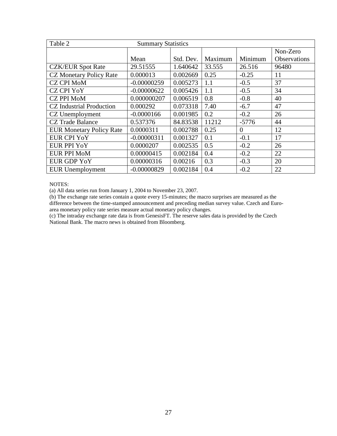| Table 2<br><b>Summary Statistics</b> |               |           |         |          |              |
|--------------------------------------|---------------|-----------|---------|----------|--------------|
|                                      |               |           |         |          | Non-Zero     |
|                                      | Mean          | Std. Dev. | Maximum | Minimum  | Observations |
| <b>CZK/EUR Spot Rate</b>             | 29.51555      | 1.640642  | 33.555  | 26.516   | 96480        |
| <b>CZ Monetary Policy Rate</b>       | 0.000013      | 0.002669  | 0.25    | $-0.25$  | 11           |
| <b>CZ CPI MoM</b>                    | $-0.00000259$ | 0.005273  | 1.1     | $-0.5$   | 37           |
| <b>CZ CPI YoY</b>                    | $-0.00000622$ | 0.005426  | 1.1     | $-0.5$   | 34           |
| <b>CZ PPI MoM</b>                    | 0.000000207   | 0.006519  | 0.8     | $-0.8$   | 40           |
| <b>CZ</b> Industrial Production      | 0.000292      | 0.073318  | 7.40    | $-6.7$   | 47           |
| CZ Unemployment                      | $-0.0000166$  | 0.001985  | 0.2     | $-0.2$   | 26           |
| <b>CZ</b> Trade Balance              | 0.537376      | 84.83538  | 11212   | $-5776$  | 44           |
| <b>EUR Monetary Policy Rate</b>      | 0.0000311     | 0.002788  | 0.25    | $\theta$ | 12           |
| <b>EUR CPI YoY</b>                   | $-0.00000311$ | 0.001327  | 0.1     | $-0.1$   | 17           |
| EUR PPI YoY                          | 0.0000207     | 0.002535  | 0.5     | $-0.2$   | 26           |
| <b>EUR PPI MoM</b>                   | 0.00000415    | 0.002184  | 0.4     | $-0.2$   | 22           |
| <b>EUR GDP YoY</b>                   | 0.00000316    | 0.00216   | 0.3     | $-0.3$   | 20           |
| <b>EUR</b> Unemployment              | $-0.00000829$ | 0.002184  | 0.4     | $-0.2$   | 22           |

(a) All data series run from January 1, 2004 to November 23, 2007.

(b) The exchange rate series contain a quote every 15-minutes; the macro surprises are measured as the difference between the time-stamped announcement and preceding median survey value. Czech and Euroarea monetary policy rate series measure actual monetary policy changes.

(c) The intraday exchange rate data is from GenesisFT. The reserve sales data is provided by the Czech National Bank. The macro news is obtained from Bloomberg.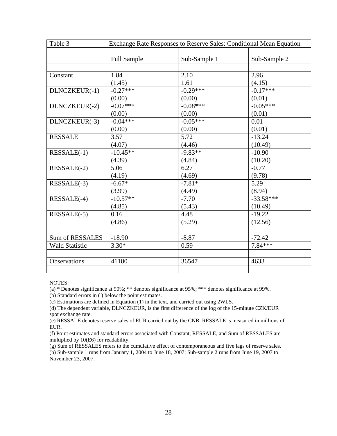| Exchange Rate Responses to Reserve Sales: Conditional Mean Equation<br>Table 3 |                    |              |              |  |
|--------------------------------------------------------------------------------|--------------------|--------------|--------------|--|
|                                                                                | <b>Full Sample</b> | Sub-Sample 1 | Sub-Sample 2 |  |
|                                                                                |                    |              |              |  |
| Constant                                                                       | 1.84               | 2.10         | 2.96         |  |
|                                                                                | (1.45)             | 1.61         | (4.15)       |  |
| DLNCZKEUR(-1)                                                                  | $-0.27***$         | $-0.29***$   | $-0.17***$   |  |
|                                                                                | (0.00)             | (0.00)       | (0.01)       |  |
| DLNCZKEUR(-2)                                                                  | $-0.07***$         | $-0.08***$   | $-0.05***$   |  |
|                                                                                | (0.00)             | (0.00)       | (0.01)       |  |
| DLNCZKEUR(-3)                                                                  | $-0.04***$         | $-0.05***$   | 0.01         |  |
|                                                                                | (0.00)             | (0.00)       | (0.01)       |  |
| <b>RESSALE</b>                                                                 | 3.57               | 5.72         | $-13.24$     |  |
|                                                                                | (4.07)             | (4.46)       | (10.49)      |  |
| RESSALE(-1)                                                                    | $-10.45**$         | $-9.83**$    | $-10.90$     |  |
|                                                                                | (4.39)             | (4.84)       | (10.20)      |  |
| RESSALE(-2)                                                                    | 5.06               | 6.27         | $-0.77$      |  |
|                                                                                | (4.19)             | (4.69)       | (9.78)       |  |
| RESSALE(-3)                                                                    | $-6.67*$           | $-7.81*$     | 5.29         |  |
|                                                                                | (3.99)             | (4.49)       | (8.94)       |  |
| RESSALE(-4)                                                                    | $-10.57**$         | $-7.70$      | $-33.58***$  |  |
|                                                                                | (4.85)             | (5.43)       | (10.49)      |  |
| RESSALE(-5)                                                                    | 0.16               | 4.48         | $-19.22$     |  |
|                                                                                | (4.86)             | (5.29)       | (12.56)      |  |
|                                                                                |                    |              |              |  |
| Sum of RESSALES                                                                | $-18.90$           | $-8.87$      | $-72.42$     |  |
| <b>Wald Statistic</b>                                                          | $3.30*$            | 0.59         | 7.84 ***     |  |
|                                                                                |                    |              |              |  |
| <b>Observations</b>                                                            | 41180              | 36547        | 4633         |  |
|                                                                                |                    |              |              |  |

(a) \* Denotes significance at 90%; \*\* denotes significance at 95%; \*\*\* denotes significance at 99%.

(b) Standard errors in ( ) below the point estimates.

(c) Estimations are defined in Equation (1) in the text, and carried out using 2WLS.

(d) The dependent variable, DLNCZKEUR, is the first difference of the log of the 15-minute CZK/EUR spot exchange rate.

(e) RESSALE denotes reserve sales of EUR carried out by the CNB. RESSALE is measured in millions of EUR.

(f) Point estimates and standard errors associated with Constant, RESSALE, and Sum of RESSALES are multiplied by 10(E6) for readability.

(g) Sum of RESSALES refers to the cumulative effect of contemporaneous and five lags of reserve sales.

(h) Sub-sample 1 runs from January 1, 2004 to June 18, 2007; Sub-sample 2 runs from June 19, 2007 to November 23, 2007.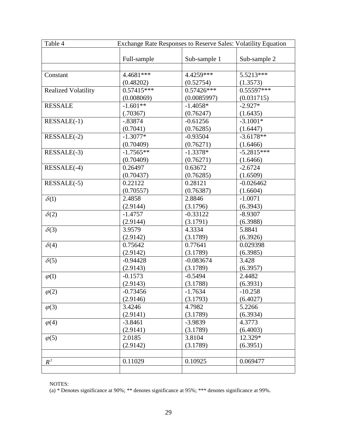| Table 4<br>Exchange Rate Responses to Reserve Sales: Volatility Equation |              |              |              |
|--------------------------------------------------------------------------|--------------|--------------|--------------|
|                                                                          | Full-sample  | Sub-sample 1 | Sub-sample 2 |
|                                                                          |              |              |              |
| Constant                                                                 | $4.4681***$  | $4.4259***$  | 5.5213***    |
|                                                                          | (0.48202)    | (0.52754)    | (1.3573)     |
| <b>Realized Volatility</b>                                               | $0.57415***$ | $0.57426***$ | $0.55597***$ |
|                                                                          | (0.008069)   | (0.0085997)  | (0.031715)   |
| <b>RESSALE</b>                                                           | $-1.601**$   | $-1.4058*$   | $-2.927*$    |
|                                                                          | (.70367)     | (0.76247)    | (1.6435)     |
| RESSALE(-1)                                                              | $-.83874$    | $-0.61256$   | $-3.1001*$   |
|                                                                          | (0.7041)     | (0.76285)    | (1.6447)     |
| RESSALE(-2)                                                              | $-1.3077*$   | $-0.93504$   | $-3.6178**$  |
|                                                                          | (0.70409)    | (0.76271)    | (1.6466)     |
| RESSALE(-3)                                                              | $-1.7565**$  | $-1.3378*$   | $-5.2815***$ |
|                                                                          | (0.70409)    | (0.76271)    | (1.6466)     |
| RESSALE(-4)                                                              | 0.26497      | 0.63672      | $-2.6724$    |
|                                                                          | (0.70437)    | (0.76285)    | (1.6509)     |
| RESSALE(-5)                                                              | 0.22122      | 0.28121      | $-0.026462$  |
|                                                                          | (0.70557)    | (0.76387)    | (1.6604)     |
| $\delta(1)$                                                              | 2.4858       | 2.8846       | $-1.0071$    |
|                                                                          | (2.9144)     | (3.1796)     | (6.3943)     |
| $\delta(2)$                                                              | $-1.4757$    | $-0.33122$   | $-8.9307$    |
|                                                                          | (2.9144)     | (3.1791)     | (6.3988)     |
| $\delta(3)$                                                              | 3.9579       | 4.3334       | 5.8841       |
|                                                                          | (2.9142)     | (3.1789)     | (6.3926)     |
| $\delta(4)$                                                              | 0.75642      | 0.77641      | 0.029398     |
|                                                                          | (2.9142)     | (3.1789)     | (6.3985)     |
| $\delta(5)$                                                              | $-0.94428$   | $-0.083674$  | 3.428        |
|                                                                          | (2.9143)     | (3.1789)     | (6.3957)     |
| $\varphi(1)$                                                             | $-0.1573$    | $-0.5494$    | 2.4482       |
|                                                                          | (2.9143)     | (3.1788)     | (6.3931)     |
| $\varphi(2)$                                                             | $-0.73456$   | $-1.7634$    | $-10.258$    |
|                                                                          | (2.9146)     | (3.1793)     | (6.4027)     |
| $\varphi(3)$                                                             | 3.4246       | 4.7982       | 5.2266       |
|                                                                          | (2.9141)     | (3.1789)     | (6.3934)     |
| $\varphi(4)$                                                             | $-3.8461$    | $-3.9839$    | 4.3773       |
|                                                                          | (2.9141)     | (3.1789)     | (6.4003)     |
| $\varphi(5)$                                                             | 2.0185       | 3.8104       | 12.329*      |
|                                                                          | (2.9142)     | (3.1789)     | (6.3951)     |
|                                                                          |              |              |              |
| $R^2$                                                                    | 0.11029      | 0.10925      | 0.069477     |
|                                                                          |              |              |              |

(a) \* Denotes significance at 90%; \*\* denotes significance at 95%; \*\*\* denotes significance at 99%.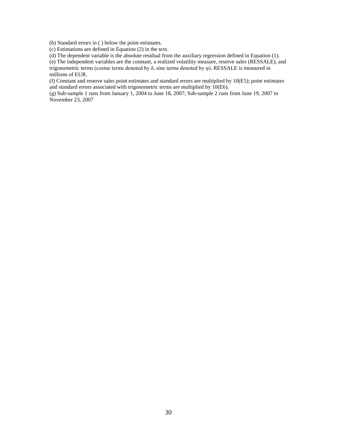(b) Standard errors in ( ) below the point estimates.

(c) Estimations are defined in Equation (2) in the text.

(d) The dependent variable is the absolute residual from the auxiliary regression defined in Equation (1).

(e) The independent variables are the constant, a realized volatility measure, reserve sales (RESSALE), and trigonometric terms (cosine terms denoted by δ, sine terms denoted by φ). RESSALE is measured in millions of EUR.

(f) Constant and reserve sales point estimates and standard errors are multiplied by 10(E5); point estimates and standard errors associated with trigonometric terms are multiplied by 10(E6).

(g) Sub-sample 1 runs from January 1, 2004 to June 18, 2007; Sub-sample 2 runs from June 19, 2007 to November 23, 2007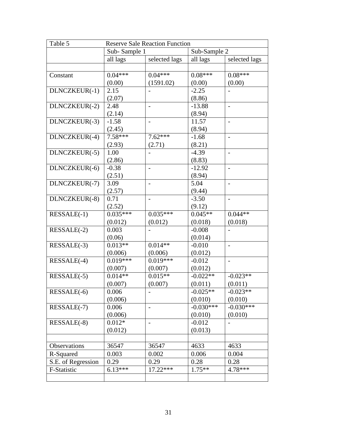| Table 5<br><b>Reserve Sale Reaction Function</b> |              |                          |              |                          |
|--------------------------------------------------|--------------|--------------------------|--------------|--------------------------|
|                                                  | Sub-Sample 1 |                          | Sub-Sample 2 |                          |
|                                                  | all lags     | selected lags            | all lags     | selected lags            |
|                                                  |              |                          |              |                          |
| Constant                                         | $0.04***$    | $0.04***$                | $0.08***$    | $0.08***$                |
|                                                  | (0.00)       | (1591.02)                | (0.00)       | (0.00)                   |
| DLNCZKEUR(-1)                                    | 2.15         |                          | $-2.25$      |                          |
|                                                  | (2.07)       |                          | (8.86)       |                          |
| DLNCZKEUR(-2)                                    | 2.48         |                          | $-13.88$     | $\blacksquare$           |
|                                                  | (2.14)       |                          | (8.94)       |                          |
| DLNCZKEUR(-3)                                    | $-1.58$      |                          | 11.57        |                          |
|                                                  | (2.45)       |                          | (8.94)       |                          |
| DLNCZKEUR(-4)                                    | 7.58***      | $7.62***$                | $-1.68$      | $\overline{\phantom{a}}$ |
|                                                  | (2.93)       | (2.71)                   | (8.21)       |                          |
| DLNCZKEUR(-5)                                    | 1.00         |                          | $-4.39$      | $\overline{\phantom{a}}$ |
|                                                  | (2.86)       |                          | (8.83)       |                          |
| DLNCZKEUR(-6)                                    | $-0.38$      |                          | $-12.92$     |                          |
|                                                  | (2.51)       |                          | (8.94)       |                          |
| DLNCZKEUR(-7)                                    | 3.09         | $\overline{\phantom{a}}$ | 5.04         | $\overline{\phantom{a}}$ |
|                                                  | (2.57)       |                          | (9.44)       |                          |
| DLNCZKEUR(-8)                                    | 0.71         |                          | $-3.50$      | $\overline{\phantom{0}}$ |
|                                                  | (2.52)       |                          | (9.12)       |                          |
| RESSALE(-1)                                      | $0.035***$   | $0.035***$               | $0.045**$    | $0.044**$                |
|                                                  | (0.012)      | (0.012)                  | (0.018)      | (0.018)                  |
| RESSALE(-2)                                      | 0.003        |                          | $-0.008$     |                          |
|                                                  | (0.06)       |                          | (0.014)      |                          |
| RESSALE(-3)                                      | $0.013**$    | $0.014**$                | $-0.010$     | $\overline{\phantom{a}}$ |
|                                                  | (0.006)      | (0.006)                  | (0.012)      |                          |
| RESSALE(-4)                                      | $0.019***$   | $0.019***$               | $-0.012$     |                          |
|                                                  | (0.007)      | (0.007)                  | (0.012)      |                          |
| RESSALE(-5)                                      | $0.014**$    | $0.015**$                | $-0.022**$   | $-0.023**$               |
|                                                  | (0.007)      | (0.007)                  | (0.011)      | (0.011)                  |
| RESSALE(-6)                                      | 0.006        |                          | $-0.025**$   | $-0.023**$               |
|                                                  | (0.006)      |                          | (0.010)      | (0.010)                  |
| RESSALE(-7)                                      | 0.006        |                          | $-0.030***$  | $-0.030***$              |
|                                                  | (0.006)      |                          | (0.010)      | (0.010)                  |
| RESSALE(-8)                                      | $0.012*$     |                          | $-0.012$     |                          |
|                                                  | (0.012)      |                          | (0.013)      |                          |
|                                                  |              |                          |              |                          |
| Observations                                     | 36547        | 36547                    | 4633         | 4633                     |
| R-Squared                                        | 0.003        | 0.002                    | 0.006        | 0.004                    |
| S.E. of Regression                               | 0.29         | 0.29                     | 0.28         | 0.28                     |
| F-Statistic                                      | $6.13***$    | $17.22***$               | $1.75**$     | $4.78***$                |
|                                                  |              |                          |              |                          |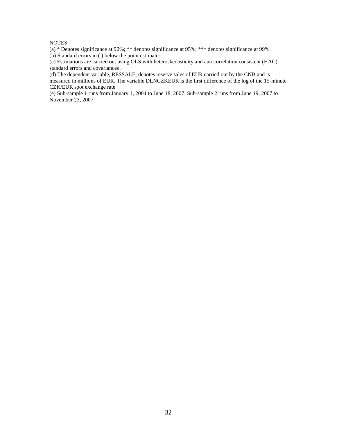(a) \* Denotes significance at 90%; \*\* denotes significance at 95%; \*\*\* denotes significance at 99%. (b) Standard errors in ( ) below the point estimates.

(c) Estimations are carried out using OLS with heteroskedasticity and autocorrelation consistent (HAC) standard errors and covariances .

(d) The dependent variable, RESSALE, denotes reserve sales of EUR carried out by the CNB and is measured in millions of EUR. The variable DLNCZKEUR is the first difference of the log of the 15-minute CZK/EUR spot exchange rate

(e) Sub-sample 1 runs from January 1, 2004 to June 18, 2007; Sub-sample 2 runs from June 19, 2007 to November 23, 2007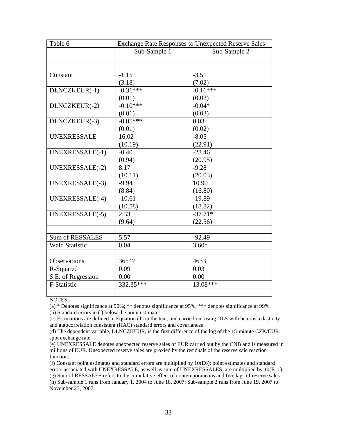| Table 6<br><b>Exchange Rate Responses to Unexpected Reserve Sales</b> |              |              |  |  |
|-----------------------------------------------------------------------|--------------|--------------|--|--|
|                                                                       | Sub-Sample 1 | Sub-Sample 2 |  |  |
|                                                                       |              |              |  |  |
|                                                                       |              |              |  |  |
| Constant                                                              | $-1.15$      | $-3.51$      |  |  |
|                                                                       | (3.18)       | (7.02)       |  |  |
| DLNCZKEUR(-1)                                                         | $-0.31***$   | $-0.16***$   |  |  |
|                                                                       | (0.01)       | (0.03)       |  |  |
| DLNCZKEUR(-2)                                                         | $-0.10***$   | $-0.04*$     |  |  |
|                                                                       | (0.01)       | (0.03)       |  |  |
| DLNCZKEUR(-3)                                                         | $-0.05***$   | 0.03         |  |  |
|                                                                       | (0.01)       | (0.02)       |  |  |
| <b>UNEXRESSALE</b>                                                    | 16.02        | $-8.05$      |  |  |
|                                                                       | (10.19)      | (22.91)      |  |  |
| UNEXRESSALE(-1)                                                       | $-0.40$      | $-28.46$     |  |  |
|                                                                       | (0.94)       | (20.95)      |  |  |
| UNEXRESSALE(-2)                                                       | 8.17         | $-9.28$      |  |  |
|                                                                       | (10.11)      | (20.03)      |  |  |
| UNEXRESSALE(-3)                                                       | $-9.94$      | 10.90        |  |  |
|                                                                       | (8.84)       | (16.80)      |  |  |
| UNEXRESSALE(-4)                                                       | $-10.61$     | $-19.89$     |  |  |
|                                                                       | (10.58)      | (18.82)      |  |  |
| UNEXRESSALE(-5)                                                       | 2.33         | $-37.71*$    |  |  |
|                                                                       | (9.64)       | (22.56)      |  |  |
|                                                                       |              |              |  |  |
| <b>Sum of RESSALES</b>                                                | 5.57         | $-92.49$     |  |  |
| <b>Wald Statistic</b>                                                 | 0.04         | $3.60*$      |  |  |
|                                                                       |              |              |  |  |
| Observations                                                          | 36547        | 4633         |  |  |
| R-Squared                                                             | 0.09         | 0.03         |  |  |
| S.E. of Regression                                                    | 0.00         | 0.00         |  |  |
| F-Statistic                                                           | 332.35***    | 13.08***     |  |  |
|                                                                       |              |              |  |  |

(a) \* Denotes significance at 90%; \*\* denotes significance at 95%; \*\*\* denotes significance at 99%.

(b) Standard errors in ( ) below the point estimates.

(c) Estimations are defined in Equation (1) in the text, and carried out using OLS with heteroskedasticity and autocorrelation consistent (HAC) standard errors and covariances .

(d) The dependent variable, DLNCZKEUR, is the first difference of the log of the 15-minute CZK/EUR spot exchange rate.

(e) UNEXRESSALE denotes unexpected reserve sales of EUR carried out by the CNB and is measured in millions of EUR. Unexpected reserve sales are proxied by the residuals of the reserve sale reaction function.

(f) Constant point estimates and standard errors are multiplied by 10(E6); point estimates and standard errors associated with UNEXRESSALE, as well as sum of UNEXRESSALES, are multiplied by 10(E11). (g) Sum of RESSALES refers to the cumulative effect of contemporaneous and five lags of reserve sales (h) Sub-sample 1 runs from January 1, 2004 to June 18, 2007; Sub-sample 2 runs from June 19, 2007 to November 23, 2007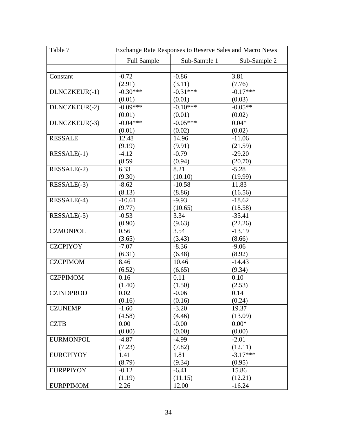| Table 7          | Exchange Rate Responses to Reserve Sales and Macro News |              |              |
|------------------|---------------------------------------------------------|--------------|--------------|
|                  | Full Sample                                             | Sub-Sample 1 | Sub-Sample 2 |
|                  |                                                         |              |              |
| Constant         | $-0.72$                                                 | $-0.86$      | 3.81         |
|                  | (2.91)                                                  | (3.11)       | (7.76)       |
| DLNCZKEUR(-1)    | $-0.30***$                                              | $-0.31***$   | $-0.17***$   |
|                  | (0.01)                                                  | (0.01)       | (0.03)       |
| DLNCZKEUR(-2)    | $-0.09***$                                              | $-0.10***$   | $-0.05**$    |
|                  | (0.01)                                                  | (0.01)       | (0.02)       |
| DLNCZKEUR(-3)    | $-0.04***$                                              | $-0.05***$   | $0.04*$      |
|                  | (0.01)                                                  | (0.02)       | (0.02)       |
| <b>RESSALE</b>   | 12.48                                                   | 14.96        | $-11.06$     |
|                  | (9.19)                                                  | (9.91)       | (21.59)      |
| RESSALE(-1)      | $-4.12$                                                 | $-0.79$      | $-29.20$     |
|                  | (8.59)                                                  | (0.94)       | (20.70)      |
| RESSALE(-2)      | 6.33                                                    | 8.21         | $-5.28$      |
|                  | (9.30)                                                  | (10.10)      | (19.99)      |
| RESSALE(-3)      | $-8.62$                                                 | $-10.58$     | 11.83        |
|                  | (8.13)                                                  | (8.86)       | (16.56)      |
| RESSALE(-4)      | $-10.61$                                                | $-9.93$      | $-18.62$     |
|                  | (9.77)                                                  | (10.65)      | (18.58)      |
| $RESSALE(-5)$    | $-0.53$                                                 | 3.34         | $-35.41$     |
|                  | (0.90)                                                  | (9.63)       | (22.26)      |
| <b>CZMONPOL</b>  | 0.56                                                    | 3.54         | $-13.19$     |
|                  | (3.65)                                                  | (3.43)       | (8.66)       |
| <b>CZCPIYOY</b>  | $-7.07$                                                 | $-8.36$      | $-9.06$      |
|                  | (6.31)                                                  | (6.48)       | (8.92)       |
| <b>CZCPIMOM</b>  | 8.46                                                    | 10.46        | $-14.43$     |
|                  | (6.52)                                                  | (6.65)       | (9.34)       |
| <b>CZPPIMOM</b>  | 0.16                                                    | 0.11         | 0.10         |
|                  | (1.40)                                                  | (1.50)       | (2.53)       |
| <b>CZINDPROD</b> | 0.02                                                    | $-0.06$      | 0.14         |
|                  | (0.16)                                                  | (0.16)       | (0.24)       |
| <b>CZUNEMP</b>   | $-1.60$                                                 | $-3.20$      | 19.37        |
|                  | (4.58)                                                  | (4.46)       | (13.09)      |
| <b>CZTB</b>      | 0.00                                                    | $-0.00$      | $0.00*$      |
|                  | (0.00)                                                  | (0.00)       | (0.00)       |
| <b>EURMONPOL</b> | $-4.87$                                                 | $-4.99$      | $-2.01$      |
|                  | (7.23)                                                  | (7.82)       | (12.11)      |
| <b>EURCPIYOY</b> | 1.41                                                    | 1.81         | $-3.17***$   |
|                  | (8.79)                                                  | (9.34)       | (0.95)       |
| <b>EURPPIYOY</b> | $-0.12$                                                 | $-6.41$      | 15.86        |
|                  | (1.19)                                                  | (11.15)      | (12.21)      |
| <b>EURPPIMOM</b> | 2.26                                                    | 12.00        | $-16.24$     |